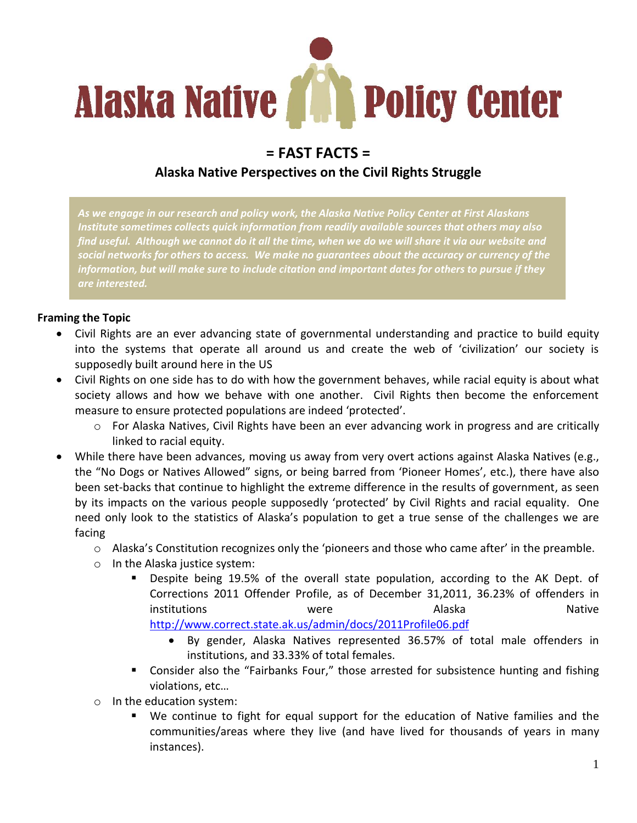

# **= FAST FACTS =**

## **Alaska Native Perspectives on the Civil Rights Struggle**

*As we engage in our research and policy work, the Alaska Native Policy Center at First Alaskans Institute sometimes collects quick information from readily available sources that others may also find useful. Although we cannot do it all the time, when we do we will share it via our website and social networks for others to access. We make no guarantees about the accuracy or currency of the information, but will make sure to include citation and important dates for others to pursue if they are interested.*

### **Framing the Topic**

- Civil Rights are an ever advancing state of governmental understanding and practice to build equity into the systems that operate all around us and create the web of 'civilization' our society is supposedly built around here in the US
- Civil Rights on one side has to do with how the government behaves, while racial equity is about what society allows and how we behave with one another. Civil Rights then become the enforcement measure to ensure protected populations are indeed 'protected'.
	- $\circ$  For Alaska Natives, Civil Rights have been an ever advancing work in progress and are critically linked to racial equity.
- While there have been advances, moving us away from very overt actions against Alaska Natives (e.g., the "No Dogs or Natives Allowed" signs, or being barred from 'Pioneer Homes', etc.), there have also been set-backs that continue to highlight the extreme difference in the results of government, as seen by its impacts on the various people supposedly 'protected' by Civil Rights and racial equality. One need only look to the statistics of Alaska's population to get a true sense of the challenges we are facing
	- o Alaska's Constitution recognizes only the 'pioneers and those who came after' in the preamble.
	- o In the Alaska justice system:
		- Despite being 19.5% of the overall state population, according to the AK Dept. of Corrections 2011 Offender Profile, as of December 31,2011, 36.23% of offenders in institutions were Alaska Native <http://www.correct.state.ak.us/admin/docs/2011Profile06.pdf>
			- By gender, Alaska Natives represented 36.57% of total male offenders in institutions, and 33.33% of total females.
		- **EXP** Consider also the "Fairbanks Four," those arrested for subsistence hunting and fishing violations, etc…
	- o In the education system:
		- We continue to fight for equal support for the education of Native families and the communities/areas where they live (and have lived for thousands of years in many instances).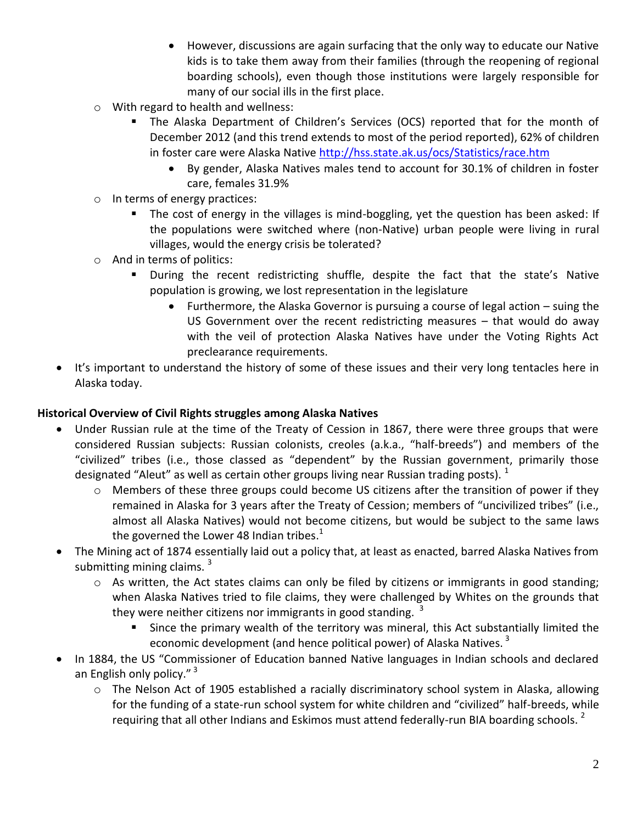- However, discussions are again surfacing that the only way to educate our Native kids is to take them away from their families (through the reopening of regional boarding schools), even though those institutions were largely responsible for many of our social ills in the first place.
- o With regard to health and wellness:
	- The Alaska Department of Children's Services (OCS) reported that for the month of December 2012 (and this trend extends to most of the period reported), 62% of children in foster care were Alaska Native <http://hss.state.ak.us/ocs/Statistics/race.htm>
		- By gender, Alaska Natives males tend to account for 30.1% of children in foster care, females 31.9%
- o In terms of energy practices:
	- **The cost of energy in the villages is mind-boggling, yet the question has been asked: If** the populations were switched where (non-Native) urban people were living in rural villages, would the energy crisis be tolerated?
- o And in terms of politics:
	- During the recent redistricting shuffle, despite the fact that the state's Native population is growing, we lost representation in the legislature
		- Furthermore, the Alaska Governor is pursuing a course of legal action suing the US Government over the recent redistricting measures – that would do away with the veil of protection Alaska Natives have under the Voting Rights Act preclearance requirements.
- It's important to understand the history of some of these issues and their very long tentacles here in Alaska today.

### **Historical Overview of Civil Rights struggles among Alaska Natives**

- Under Russian rule at the time of the Treaty of Cession in 1867, there were three groups that were considered Russian subjects: Russian colonists, creoles (a.k.a., "half-breeds") and members of the "civilized" tribes (i.e., those classed as "dependent" by the Russian government, primarily those designated "Aleut" as well as certain other groups living near Russian trading posts).  $1$ 
	- o Members of these three groups could become US citizens after the transition of power if they remained in Alaska for 3 years after the Treaty of Cession; members of "uncivilized tribes" (i.e., almost all Alaska Natives) would not become citizens, but would be subject to the same laws the governed the Lower 48 Indian tribes.<sup>1</sup>
- The Mining act of 1874 essentially laid out a policy that, at least as enacted, barred Alaska Natives from submitting mining claims.  $3$ 
	- o As written, the Act states claims can only be filed by citizens or immigrants in good standing; when Alaska Natives tried to file claims, they were challenged by Whites on the grounds that they were neither citizens nor immigrants in good standing.  $3$ 
		- Since the primary wealth of the territory was mineral, this Act substantially limited the economic development (and hence political power) of Alaska Natives.<sup>3</sup>
- In 1884, the US "Commissioner of Education banned Native languages in Indian schools and declared an English only policy."<sup>3</sup>
	- o The Nelson Act of 1905 established a racially discriminatory school system in Alaska, allowing for the funding of a state-run school system for white children and "civilized" half-breeds, while requiring that all other Indians and Eskimos must attend federally-run BIA boarding schools.  $2$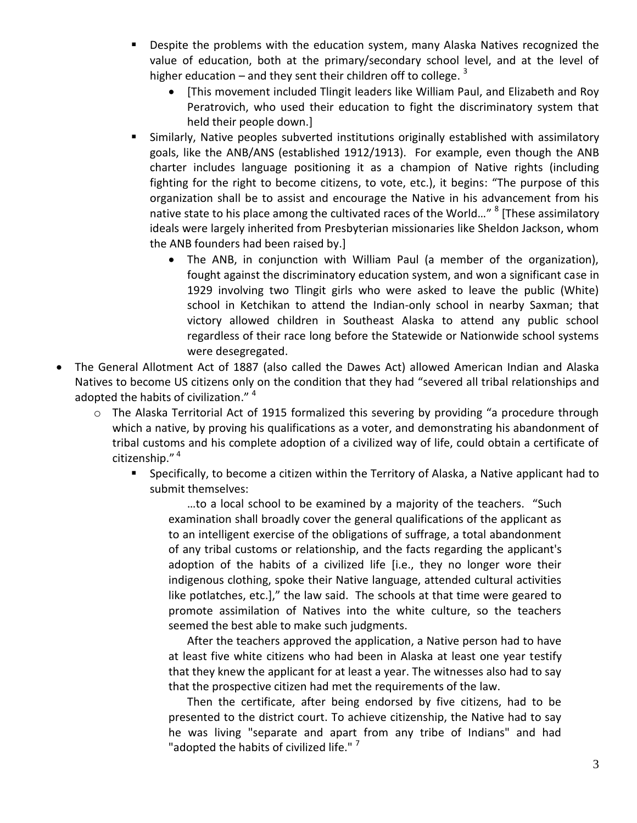- **Despite the problems with the education system, many Alaska Natives recognized the** value of education, both at the primary/secondary school level, and at the level of higher education – and they sent their children off to college.  $^3$ 
	- [This movement included Tlingit leaders like William Paul, and Elizabeth and Roy Peratrovich, who used their education to fight the discriminatory system that held their people down.]
- Similarly, Native peoples subverted institutions originally established with assimilatory goals, like the ANB/ANS (established 1912/1913). For example, even though the ANB charter includes language positioning it as a champion of Native rights (including fighting for the right to become citizens, to vote, etc.), it begins: "The purpose of this organization shall be to assist and encourage the Native in his advancement from his native state to his place among the cultivated races of the World..." <sup>8</sup> [These assimilatory ideals were largely inherited from Presbyterian missionaries like Sheldon Jackson, whom the ANB founders had been raised by.]
	- The ANB, in conjunction with William Paul (a member of the organization), fought against the discriminatory education system, and won a significant case in 1929 involving two Tlingit girls who were asked to leave the public (White) school in Ketchikan to attend the Indian-only school in nearby Saxman; that victory allowed children in Southeast Alaska to attend any public school regardless of their race long before the Statewide or Nationwide school systems were desegregated.
- The General Allotment Act of 1887 (also called the Dawes Act) allowed American Indian and Alaska Natives to become US citizens only on the condition that they had "severed all tribal relationships and adopted the habits of civilization." <sup>4</sup>
	- o The Alaska Territorial Act of 1915 formalized this severing by providing "a procedure through which a native, by proving his qualifications as a voter, and demonstrating his abandonment of tribal customs and his complete adoption of a civilized way of life, could obtain a certificate of citizenship." <sup>4</sup>
		- Specifically, to become a citizen within the Territory of Alaska, a Native applicant had to submit themselves:

…to a local school to be examined by a majority of the teachers. "Such examination shall broadly cover the general qualifications of the applicant as to an intelligent exercise of the obligations of suffrage, a total abandonment of any tribal customs or relationship, and the facts regarding the applicant's adoption of the habits of a civilized life [i.e., they no longer wore their indigenous clothing, spoke their Native language, attended cultural activities like potlatches, etc.]," the law said. The schools at that time were geared to promote assimilation of Natives into the white culture, so the teachers seemed the best able to make such judgments.

After the teachers approved the application, a Native person had to have at least five white citizens who had been in Alaska at least one year testify that they knew the applicant for at least a year. The witnesses also had to say that the prospective citizen had met the requirements of the law.

Then the certificate, after being endorsed by five citizens, had to be presented to the district court. To achieve citizenship, the Native had to say he was living "separate and apart from any tribe of Indians" and had "adopted the habits of civilized life."  $7$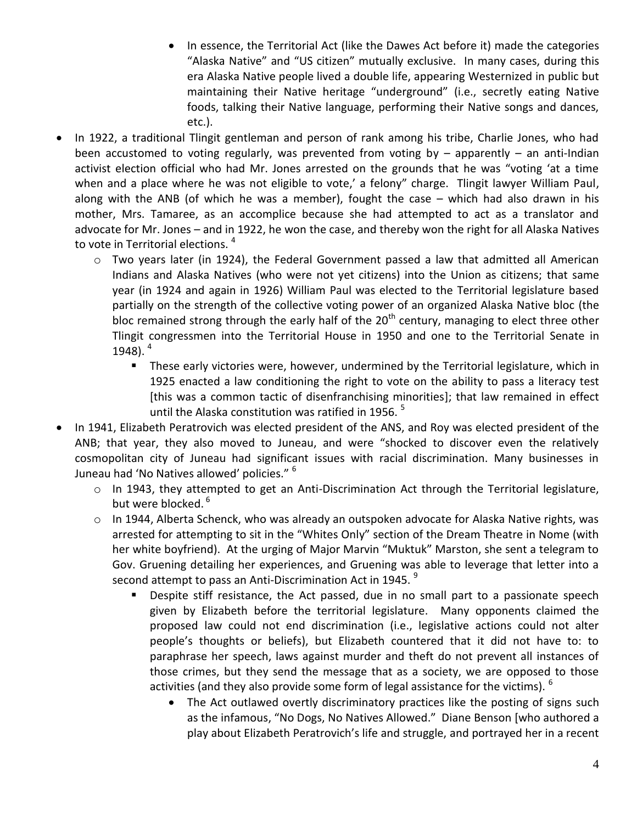- In essence, the Territorial Act (like the Dawes Act before it) made the categories "Alaska Native" and "US citizen" mutually exclusive. In many cases, during this era Alaska Native people lived a double life, appearing Westernized in public but maintaining their Native heritage "underground" (i.e., secretly eating Native foods, talking their Native language, performing their Native songs and dances, etc.).
- In 1922, a traditional Tlingit gentleman and person of rank among his tribe, Charlie Jones, who had been accustomed to voting regularly, was prevented from voting by – apparently – an anti-Indian activist election official who had Mr. Jones arrested on the grounds that he was "voting 'at a time when and a place where he was not eligible to vote,' a felony" charge. Tlingit lawyer William Paul, along with the ANB (of which he was a member), fought the case – which had also drawn in his mother, Mrs. Tamaree, as an accomplice because she had attempted to act as a translator and advocate for Mr. Jones – and in 1922, he won the case, and thereby won the right for all Alaska Natives to vote in Territorial elections.<sup>4</sup>
	- o Two years later (in 1924), the Federal Government passed a law that admitted all American Indians and Alaska Natives (who were not yet citizens) into the Union as citizens; that same year (in 1924 and again in 1926) William Paul was elected to the Territorial legislature based partially on the strength of the collective voting power of an organized Alaska Native bloc (the bloc remained strong through the early half of the  $20<sup>th</sup>$  century, managing to elect three other Tlingit congressmen into the Territorial House in 1950 and one to the Territorial Senate in 1948). 4
		- These early victories were, however, undermined by the Territorial legislature, which in 1925 enacted a law conditioning the right to vote on the ability to pass a literacy test [this was a common tactic of disenfranchising minorities]; that law remained in effect until the Alaska constitution was ratified in 1956.<sup>5</sup>
- In 1941, Elizabeth Peratrovich was elected president of the ANS, and Roy was elected president of the ANB; that year, they also moved to Juneau, and were "shocked to discover even the relatively cosmopolitan city of Juneau had significant issues with racial discrimination. Many businesses in Juneau had 'No Natives allowed' policies." <sup>6</sup>
	- o In 1943, they attempted to get an Anti-Discrimination Act through the Territorial legislature, but were blocked.<sup>6</sup>
	- $\circ$  In 1944, Alberta Schenck, who was already an outspoken advocate for Alaska Native rights, was arrested for attempting to sit in the "Whites Only" section of the Dream Theatre in Nome (with her white boyfriend). At the urging of Major Marvin "Muktuk" Marston, she sent a telegram to Gov. Gruening detailing her experiences, and Gruening was able to leverage that letter into a second attempt to pass an Anti-Discrimination Act in 1945.<sup>9</sup>
		- Despite stiff resistance, the Act passed, due in no small part to a passionate speech given by Elizabeth before the territorial legislature. Many opponents claimed the proposed law could not end discrimination (i.e., legislative actions could not alter people's thoughts or beliefs), but Elizabeth countered that it did not have to: to paraphrase her speech, laws against murder and theft do not prevent all instances of those crimes, but they send the message that as a society, we are opposed to those activities (and they also provide some form of legal assistance for the victims).  $6$ 
			- The Act outlawed overtly discriminatory practices like the posting of signs such as the infamous, "No Dogs, No Natives Allowed." Diane Benson [who authored a play about Elizabeth Peratrovich's life and struggle, and portrayed her in a recent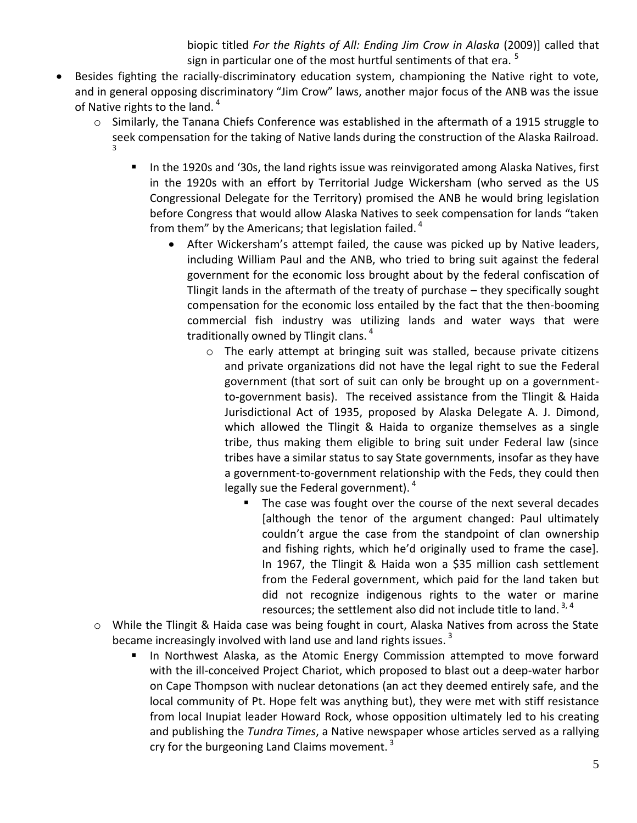biopic titled *For the Rights of All: Ending Jim Crow in Alaska* (2009)] called that sign in particular one of the most hurtful sentiments of that era.<sup>5</sup>

- Besides fighting the racially-discriminatory education system, championing the Native right to vote, and in general opposing discriminatory "Jim Crow" laws, another major focus of the ANB was the issue of Native rights to the land.<sup>4</sup>
	- o Similarly, the Tanana Chiefs Conference was established in the aftermath of a 1915 struggle to seek compensation for the taking of Native lands during the construction of the Alaska Railroad. 3
		- In the 1920s and '30s, the land rights issue was reinvigorated among Alaska Natives, first in the 1920s with an effort by Territorial Judge Wickersham (who served as the US Congressional Delegate for the Territory) promised the ANB he would bring legislation before Congress that would allow Alaska Natives to seek compensation for lands "taken from them" by the Americans; that legislation failed.  $4\overline{ }$ 
			- After Wickersham's attempt failed, the cause was picked up by Native leaders, including William Paul and the ANB, who tried to bring suit against the federal government for the economic loss brought about by the federal confiscation of Tlingit lands in the aftermath of the treaty of purchase – they specifically sought compensation for the economic loss entailed by the fact that the then-booming commercial fish industry was utilizing lands and water ways that were traditionally owned by Tlingit clans.<sup>4</sup>
				- $\circ$  The early attempt at bringing suit was stalled, because private citizens and private organizations did not have the legal right to sue the Federal government (that sort of suit can only be brought up on a governmentto-government basis). The received assistance from the Tlingit & Haida Jurisdictional Act of 1935, proposed by Alaska Delegate A. J. Dimond, which allowed the Tlingit & Haida to organize themselves as a single tribe, thus making them eligible to bring suit under Federal law (since tribes have a similar status to say State governments, insofar as they have a government-to-government relationship with the Feds, they could then legally sue the Federal government).  $4\overline{ }$ 
					- The case was fought over the course of the next several decades [although the tenor of the argument changed: Paul ultimately couldn't argue the case from the standpoint of clan ownership and fishing rights, which he'd originally used to frame the case]. In 1967, the Tlingit & Haida won a \$35 million cash settlement from the Federal government, which paid for the land taken but did not recognize indigenous rights to the water or marine resources; the settlement also did not include title to land.  $3, 4$
	- o While the Tlingit & Haida case was being fought in court, Alaska Natives from across the State became increasingly involved with land use and land rights issues.<sup>3</sup>
		- In Northwest Alaska, as the Atomic Energy Commission attempted to move forward with the ill-conceived Project Chariot, which proposed to blast out a deep-water harbor on Cape Thompson with nuclear detonations (an act they deemed entirely safe, and the local community of Pt. Hope felt was anything but), they were met with stiff resistance from local Inupiat leader Howard Rock, whose opposition ultimately led to his creating and publishing the *Tundra Times*, a Native newspaper whose articles served as a rallying cry for the burgeoning Land Claims movement.  $3$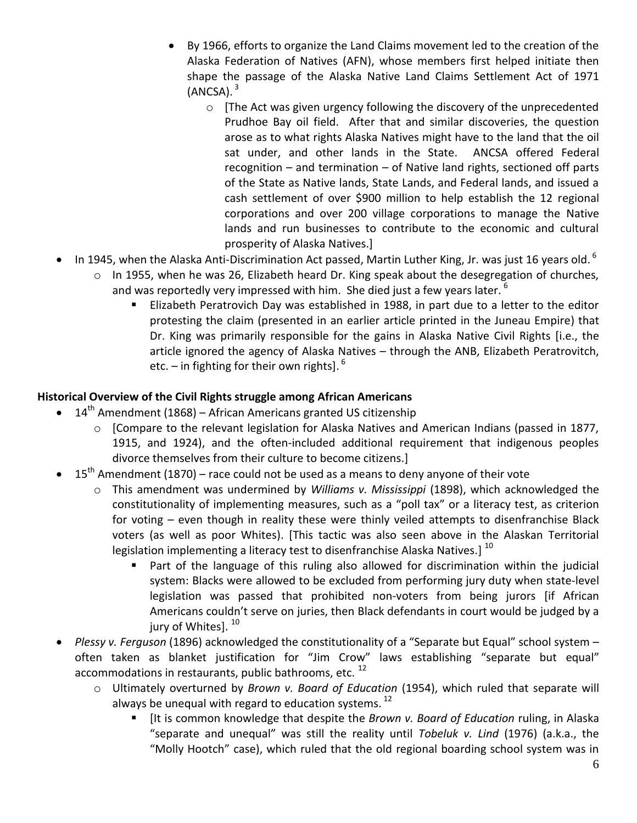- By 1966, efforts to organize the Land Claims movement led to the creation of the Alaska Federation of Natives (AFN), whose members first helped initiate then shape the passage of the Alaska Native Land Claims Settlement Act of 1971 (ANCSA). $^3$ 
	- $\circ$  [The Act was given urgency following the discovery of the unprecedented Prudhoe Bay oil field. After that and similar discoveries, the question arose as to what rights Alaska Natives might have to the land that the oil sat under, and other lands in the State. ANCSA offered Federal recognition – and termination – of Native land rights, sectioned off parts of the State as Native lands, State Lands, and Federal lands, and issued a cash settlement of over \$900 million to help establish the 12 regional corporations and over 200 village corporations to manage the Native lands and run businesses to contribute to the economic and cultural prosperity of Alaska Natives.]
- In 1945, when the Alaska Anti-Discrimination Act passed, Martin Luther King, Jr. was just 16 years old.  $^6$ 
	- o In 1955, when he was 26, Elizabeth heard Dr. King speak about the desegregation of churches, and was reportedly very impressed with him. She died just a few years later.  $6\overline{ }$ 
		- Elizabeth Peratrovich Day was established in 1988, in part due to a letter to the editor protesting the claim (presented in an earlier article printed in the Juneau Empire) that Dr. King was primarily responsible for the gains in Alaska Native Civil Rights [i.e., the article ignored the agency of Alaska Natives – through the ANB, Elizabeth Peratrovitch, etc. – in fighting for their own rights].  $^6$

## **Historical Overview of the Civil Rights struggle among African Americans**

- $\bullet$  14<sup>th</sup> Amendment (1868) African Americans granted US citizenship
	- o [Compare to the relevant legislation for Alaska Natives and American Indians (passed in 1877, 1915, and 1924), and the often-included additional requirement that indigenous peoples divorce themselves from their culture to become citizens.]
- $15<sup>th</sup>$  Amendment (1870) race could not be used as a means to deny anyone of their vote
	- o This amendment was undermined by *Williams v. Mississippi* (1898), which acknowledged the constitutionality of implementing measures, such as a "poll tax" or a literacy test, as criterion for voting – even though in reality these were thinly veiled attempts to disenfranchise Black voters (as well as poor Whites). [This tactic was also seen above in the Alaskan Territorial legislation implementing a literacy test to disenfranchise Alaska Natives.]  $^{10}$ 
		- Part of the language of this ruling also allowed for discrimination within the judicial system: Blacks were allowed to be excluded from performing jury duty when state-level legislation was passed that prohibited non-voters from being jurors [if African Americans couldn't serve on juries, then Black defendants in court would be judged by a jury of Whites]. <sup>10</sup>
- *Plessy v. Ferguson* (1896) acknowledged the constitutionality of a "Separate but Equal" school system often taken as blanket justification for "Jim Crow" laws establishing "separate but equal" accommodations in restaurants, public bathrooms, etc.<sup>12</sup>
	- o Ultimately overturned by *Brown v. Board of Education* (1954), which ruled that separate will always be unequal with regard to education systems. <sup>12</sup>
		- [It is common knowledge that despite the *Brown v. Board of Education* ruling, in Alaska "separate and unequal" was still the reality until *Tobeluk v. Lind* (1976) (a.k.a., the "Molly Hootch" case), which ruled that the old regional boarding school system was in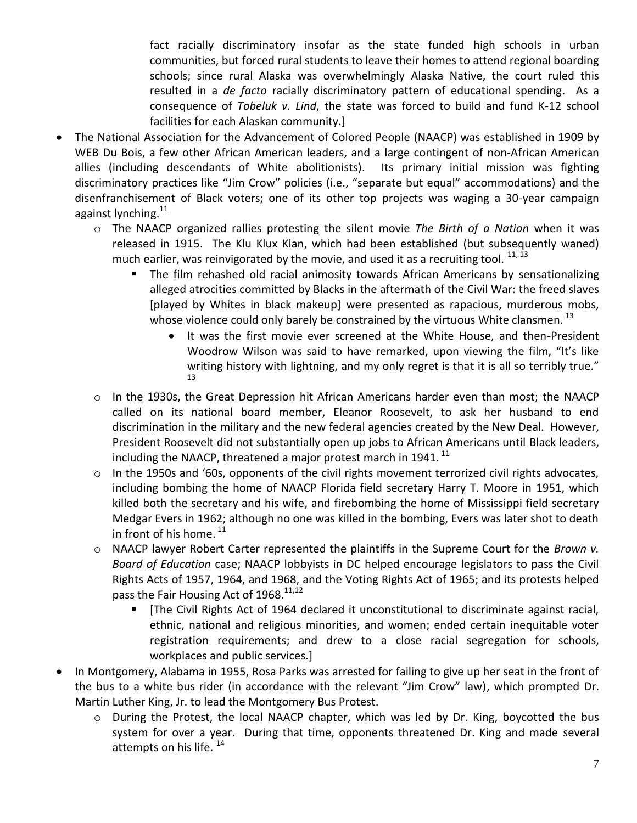fact racially discriminatory insofar as the state funded high schools in urban communities, but forced rural students to leave their homes to attend regional boarding schools; since rural Alaska was overwhelmingly Alaska Native, the court ruled this resulted in a *de facto* racially discriminatory pattern of educational spending. As a consequence of *Tobeluk v. Lind*, the state was forced to build and fund K-12 school facilities for each Alaskan community.]

- The National Association for the Advancement of Colored People (NAACP) was established in 1909 by WEB Du Bois, a few other African American leaders, and a large contingent of non-African American allies (including descendants of White abolitionists). Its primary initial mission was fighting discriminatory practices like "Jim Crow" policies (i.e., "separate but equal" accommodations) and the disenfranchisement of Black voters; one of its other top projects was waging a 30-year campaign against lynching.<sup>11</sup>
	- o The NAACP organized rallies protesting the silent movie *The Birth of a Nation* when it was released in 1915. The Klu Klux Klan, which had been established (but subsequently waned) much earlier, was reinvigorated by the movie, and used it as a recruiting tool.  $^{11, 13}$ 
		- The film rehashed old racial animosity towards African Americans by sensationalizing alleged atrocities committed by Blacks in the aftermath of the Civil War: the freed slaves [played by Whites in black makeup] were presented as rapacious, murderous mobs, whose violence could only barely be constrained by the virtuous White clansmen.  $^{13}$ 
			- It was the first movie ever screened at the White House, and then-President Woodrow Wilson was said to have remarked, upon viewing the film, "It's like writing history with lightning, and my only regret is that it is all so terribly true." 13
	- o In the 1930s, the Great Depression hit African Americans harder even than most; the NAACP called on its national board member, Eleanor Roosevelt, to ask her husband to end discrimination in the military and the new federal agencies created by the New Deal. However, President Roosevelt did not substantially open up jobs to African Americans until Black leaders, including the NAACP, threatened a major protest march in 1941.  $^{11}$
	- o In the 1950s and '60s, opponents of the civil rights movement terrorized civil rights advocates, including bombing the home of NAACP Florida field secretary Harry T. Moore in 1951, which killed both the secretary and his wife, and firebombing the home of Mississippi field secretary Medgar Evers in 1962; although no one was killed in the bombing, Evers was later shot to death in front of his home.  $^{11}$
	- o NAACP lawyer Robert Carter represented the plaintiffs in the Supreme Court for the *Brown v. Board of Education* case; NAACP lobbyists in DC helped encourage legislators to pass the Civil Rights Acts of 1957, 1964, and 1968, and the Voting Rights Act of 1965; and its protests helped pass the Fair Housing Act of 1968.<sup>11,12</sup>
		- [The Civil Rights Act of 1964 declared it unconstitutional to discriminate against racial, ethnic, national and religious minorities, and women; ended certain inequitable voter registration requirements; and drew to a close racial segregation for schools, workplaces and public services.]
- In Montgomery, Alabama in 1955, Rosa Parks was arrested for failing to give up her seat in the front of the bus to a white bus rider (in accordance with the relevant "Jim Crow" law), which prompted Dr. Martin Luther King, Jr. to lead the Montgomery Bus Protest.
	- o During the Protest, the local NAACP chapter, which was led by Dr. King, boycotted the bus system for over a year. During that time, opponents threatened Dr. King and made several attempts on his life. <sup>14</sup>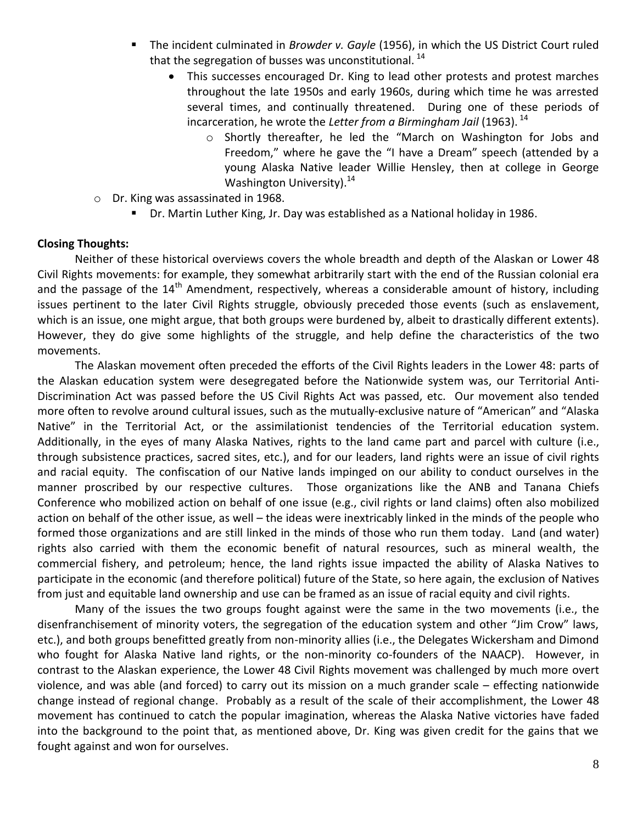- The incident culminated in *Browder v. Gayle* (1956), in which the US District Court ruled that the segregation of busses was unconstitutional.  $^{14}$ 
	- This successes encouraged Dr. King to lead other protests and protest marches throughout the late 1950s and early 1960s, during which time he was arrested several times, and continually threatened. During one of these periods of incarceration, he wrote the *Letter from a Birmingham Jail* (1963).<sup>14</sup>
		- o Shortly thereafter, he led the "March on Washington for Jobs and Freedom," where he gave the "I have a Dream" speech (attended by a young Alaska Native leader Willie Hensley, then at college in George Washington University). $14$
- o Dr. King was assassinated in 1968.
	- Dr. Martin Luther King, Jr. Day was established as a National holiday in 1986.

#### **Closing Thoughts:**

Neither of these historical overviews covers the whole breadth and depth of the Alaskan or Lower 48 Civil Rights movements: for example, they somewhat arbitrarily start with the end of the Russian colonial era and the passage of the  $14<sup>th</sup>$  Amendment, respectively, whereas a considerable amount of history, including issues pertinent to the later Civil Rights struggle, obviously preceded those events (such as enslavement, which is an issue, one might argue, that both groups were burdened by, albeit to drastically different extents). However, they do give some highlights of the struggle, and help define the characteristics of the two movements.

The Alaskan movement often preceded the efforts of the Civil Rights leaders in the Lower 48: parts of the Alaskan education system were desegregated before the Nationwide system was, our Territorial Anti-Discrimination Act was passed before the US Civil Rights Act was passed, etc. Our movement also tended more often to revolve around cultural issues, such as the mutually-exclusive nature of "American" and "Alaska Native" in the Territorial Act, or the assimilationist tendencies of the Territorial education system. Additionally, in the eyes of many Alaska Natives, rights to the land came part and parcel with culture (i.e., through subsistence practices, sacred sites, etc.), and for our leaders, land rights were an issue of civil rights and racial equity. The confiscation of our Native lands impinged on our ability to conduct ourselves in the manner proscribed by our respective cultures. Those organizations like the ANB and Tanana Chiefs Conference who mobilized action on behalf of one issue (e.g., civil rights or land claims) often also mobilized action on behalf of the other issue, as well – the ideas were inextricably linked in the minds of the people who formed those organizations and are still linked in the minds of those who run them today. Land (and water) rights also carried with them the economic benefit of natural resources, such as mineral wealth, the commercial fishery, and petroleum; hence, the land rights issue impacted the ability of Alaska Natives to participate in the economic (and therefore political) future of the State, so here again, the exclusion of Natives from just and equitable land ownership and use can be framed as an issue of racial equity and civil rights.

Many of the issues the two groups fought against were the same in the two movements (i.e., the disenfranchisement of minority voters, the segregation of the education system and other "Jim Crow" laws, etc.), and both groups benefitted greatly from non-minority allies (i.e., the Delegates Wickersham and Dimond who fought for Alaska Native land rights, or the non-minority co-founders of the NAACP). However, in contrast to the Alaskan experience, the Lower 48 Civil Rights movement was challenged by much more overt violence, and was able (and forced) to carry out its mission on a much grander scale – effecting nationwide change instead of regional change. Probably as a result of the scale of their accomplishment, the Lower 48 movement has continued to catch the popular imagination, whereas the Alaska Native victories have faded into the background to the point that, as mentioned above, Dr. King was given credit for the gains that we fought against and won for ourselves.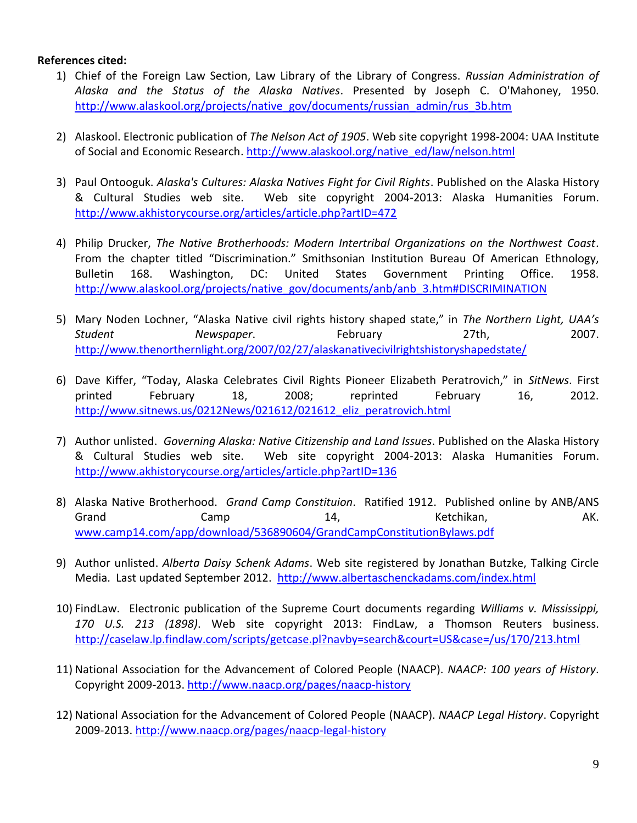#### **References cited:**

- 1) Chief of the Foreign Law Section, Law Library of the Library of Congress. *Russian Administration of Alaska and the Status of the Alaska Natives*. Presented by Joseph C. O'Mahoney, 1950. [http://www.alaskool.org/projects/native\\_gov/documents/russian\\_admin/rus\\_3b.htm](http://www.alaskool.org/projects/native_gov/documents/russian_admin/rus_3b.htm)
- 2) Alaskool. Electronic publication of *The Nelson Act of 1905*. Web site copyright 1998-2004: UAA Institute of Social and Economic Research. [http://www.alaskool.org/native\\_ed/law/nelson.html](http://www.alaskool.org/native_ed/law/nelson.html)
- 3) Paul Ontooguk. *Alaska's Cultures: Alaska Natives Fight for Civil Rights*. Published on the Alaska History & Cultural Studies web site. Web site copyright 2004-2013: Alaska Humanities Forum. <http://www.akhistorycourse.org/articles/article.php?artID=472>
- 4) Philip Drucker, *The Native Brotherhoods: Modern Intertribal Organizations on the Northwest Coast*. From the chapter titled "Discrimination." Smithsonian Institution Bureau Of American Ethnology, Bulletin 168. Washington, DC: United States Government Printing Office. 1958. [http://www.alaskool.org/projects/native\\_gov/documents/anb/anb\\_3.htm#DISCRIMINATION](http://www.alaskool.org/projects/native_gov/documents/anb/anb_3.htm#DISCRIMINATION)
- 5) Mary Noden Lochner, "Alaska Native civil rights history shaped state," in *The Northern Light, UAA's Student Newspaper*. February 27th, 2007. <http://www.thenorthernlight.org/2007/02/27/alaskanativecivilrightshistoryshapedstate/>
- 6) Dave Kiffer, "Today, Alaska Celebrates Civil Rights Pioneer Elizabeth Peratrovich," in *SitNews*. First printed February 18, 2008; reprinted February 16, 2012. [http://www.sitnews.us/0212News/021612/021612\\_eliz\\_peratrovich.html](http://www.sitnews.us/0212News/021612/021612_eliz_peratrovich.html)
- 7) Author unlisted. *Governing Alaska: Native Citizenship and Land Issues*. Published on the Alaska History & Cultural Studies web site. Web site copyright 2004-2013: Alaska Humanities Forum. <http://www.akhistorycourse.org/articles/article.php?artID=136>
- 8) Alaska Native Brotherhood. *Grand Camp Constituion*. Ratified 1912. Published online by ANB/ANS Grand Camp 14, Ketchikan, AK. [www.camp14.com/app/download/536890604/GrandCampConstitutionBylaws.pdf](http://www.camp14.com/app/download/536890604/GrandCampConstitutionBylaws.pdf)
- 9) Author unlisted. *Alberta Daisy Schenk Adams*. Web site registered by Jonathan Butzke, Talking Circle Media. Last updated September 2012. <http://www.albertaschenckadams.com/index.html>
- 10) FindLaw. Electronic publication of the Supreme Court documents regarding *Williams v. Mississippi, 170 U.S. 213 (1898)*. Web site copyright 2013: FindLaw, a Thomson Reuters business. <http://caselaw.lp.findlaw.com/scripts/getcase.pl?navby=search&court=US&case=/us/170/213.html>
- 11) National Association for the Advancement of Colored People (NAACP). *NAACP: 100 years of History*. Copyright 2009-2013.<http://www.naacp.org/pages/naacp-history>
- 12) National Association for the Advancement of Colored People (NAACP). *NAACP Legal History*. Copyright 2009-2013.<http://www.naacp.org/pages/naacp-legal-history>